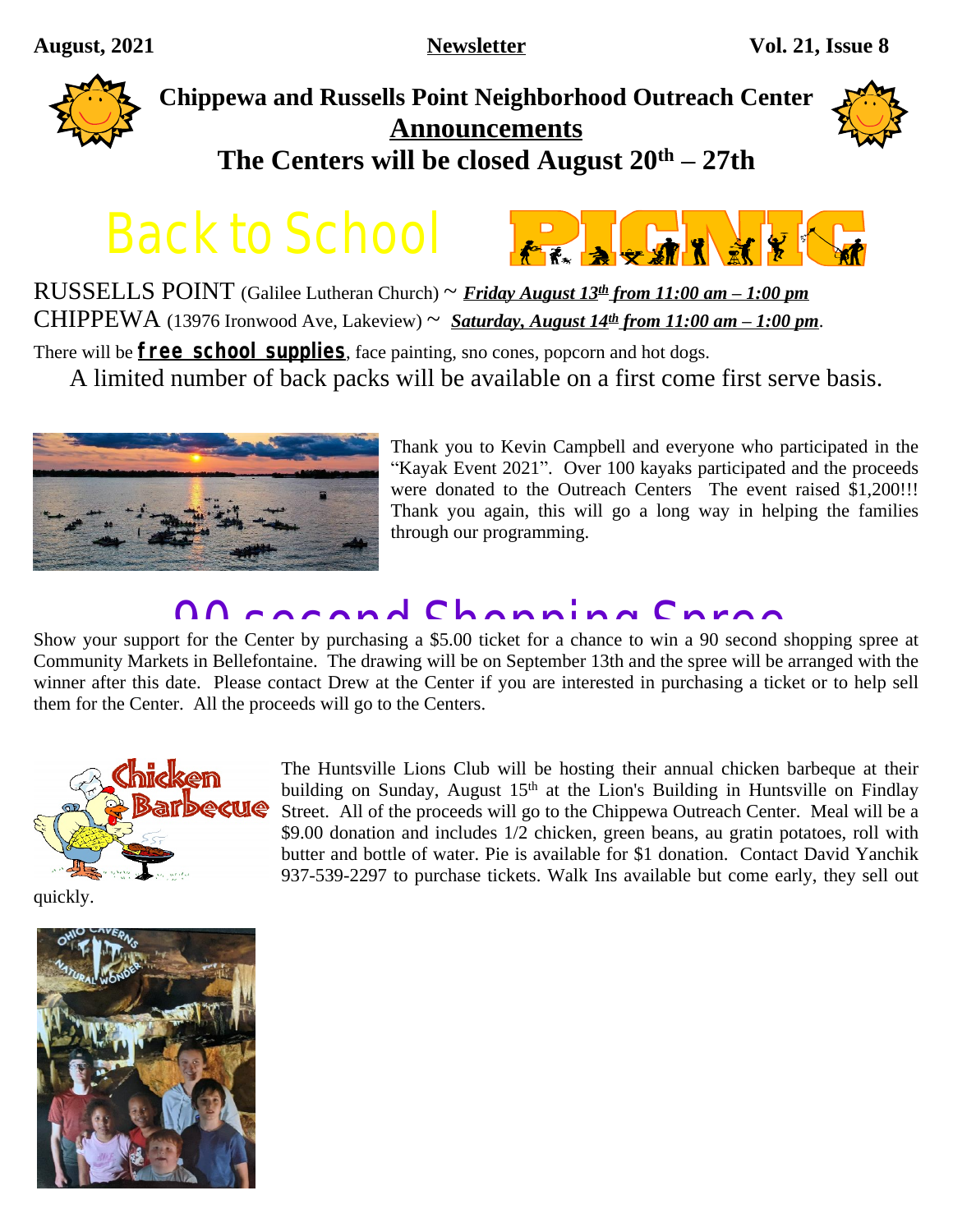

# **Chippewa and Russells Point Neighborhood Outreach Center Announcements The Centers will be closed August 20th – 27th**



Back to School



RUSSELLS POINT (Galilee Lutheran Church) ~ *Friday August 13th from 11:00 am – 1:00 pm* CHIPPEWA (13976 Ironwood Ave, Lakeview)  $\sim$  *<u>Saturday, August 14<sup>th</sup> from 11:00 am – 1:00 pm</u>.* 

There will be **free school supplies**, face painting, sno cones, popcorn and hot dogs.

A limited number of back packs will be available on a first come first serve basis.



Thank you to Kevin Campbell and everyone who participated in the "Kayak Event 2021". Over 100 kayaks participated and the proceeds were donated to the Outreach Centers The event raised \$1,200!!! Thank you again, this will go a long way in helping the families through our programming.

## 00 connol Chonning Chron

Show your support for the Center by purchasing a \$5.00 ticket for a chance to win a 90 second shopping spree at Community Markets in Bellefontaine. The drawing will be on September 13th and the spree will be arranged with the winner after this date. Please contact Drew at the Center if you are interested in purchasing a ticket or to help sell them for the Center. All the proceeds will go to the Centers.



The Huntsville Lions Club will be hosting their annual chicken barbeque at their building on Sunday, August 15<sup>th</sup> at the Lion's Building in Huntsville on Findlay Street. All of the proceeds will go to the Chippewa Outreach Center. Meal will be a \$9.00 donation and includes 1/2 chicken, green beans, au gratin potatoes, roll with butter and bottle of water. Pie is available for \$1 donation. Contact David Yanchik 937-539-2297 to purchase tickets. Walk Ins available but come early, they sell out

quickly.

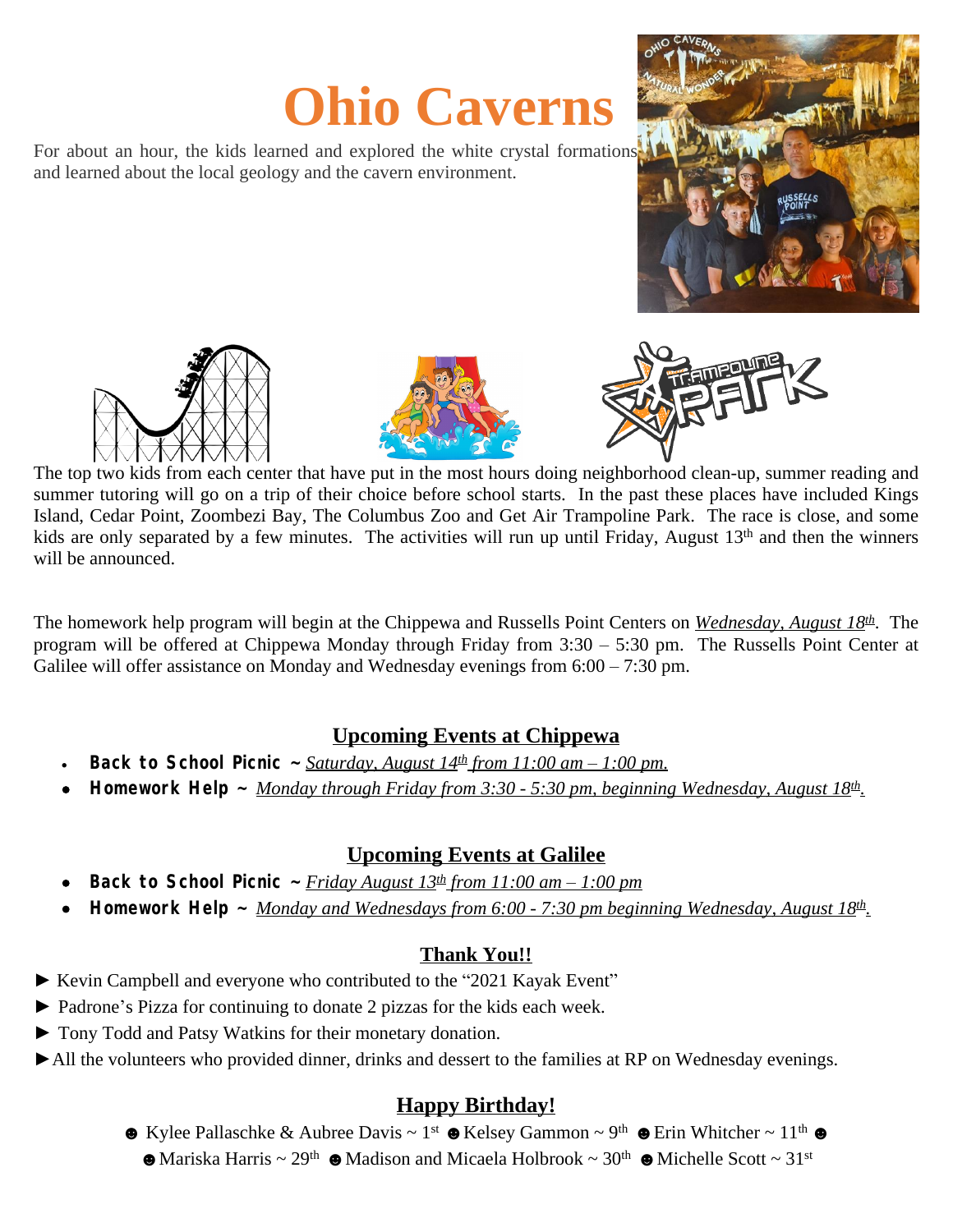# **Ohio Caverns**

For about an hour, the kids learned and explored the white crystal formations and learned about the local geology and the cavern environment.









 $\overline{a}$ The top two kids from each center that have put in the most hours doing neighborhood clean-up, summer reading and summer tutoring will go on a trip of their choice before school starts. In the past these places have included Kings Island, Cedar Point, Zoombezi Bay, The Columbus Zoo and Get Air Trampoline Park. The race is close, and some kids are only separated by a few minutes. The activities will run up until Friday, August 13<sup>th</sup> and then the winners will be announced.

The homework help program will begin at the Chippewa and Russells Point Centers on *Wednesday, August 18th* . The program will be offered at Chippewa Monday through Friday from 3:30 – 5:30 pm. The Russells Point Center at Galilee will offer assistance on Monday and Wednesday evenings from 6:00 – 7:30 pm.

#### **Upcoming Events at Chippewa**

- **Back to School Picnic**  $\sim$  *<u>Saturday, August 14<sup>th</sup> from 11:00 am 1:00 pm.</u>*
- **Homework Help ~** *Monday through Friday from 3:30 5:30 pm, beginning Wednesday, August 18th .*

### **Upcoming Events at Galilee**

- **Back to School Picnic**  $\sim$  *Friday August 13<sup>th</sup> from 11:00 am 1:00 pm*
- **Homework Help ~** *Monday and Wednesdays from 6:00 7:30 pm beginning Wednesday, August 18th .*

### **Thank You!!**

- ► Kevin Campbell and everyone who contributed to the "2021 Kayak Event"
- ► Padrone's Pizza for continuing to donate 2 pizzas for the kids each week.
- ► Tony Todd and Patsy Watkins for their monetary donation.
- ►All the volunteers who provided dinner, drinks and dessert to the families at RP on Wednesday evenings.

### **Happy Birthday!**

 $\bullet$  Kylee Pallaschke & Aubree Davis ~ 1<sup>st</sup>  $\bullet$  Kelsey Gammon ~ 9<sup>th</sup>  $\bullet$  Erin Whitcher ~ 11<sup>th</sup>  $\bullet$  $\bullet$  Mariska Harris ~ 29<sup>th</sup>  $\bullet$  Madison and Micaela Holbrook ~ 30<sup>th</sup>  $\bullet$  Michelle Scott ~ 31<sup>st</sup>